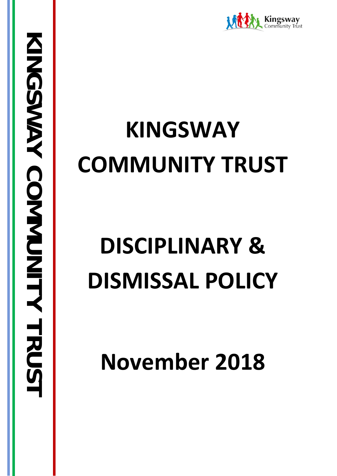

# **KINGSWAY COMMUNITY TRUST**

# **DISCIPLINARY & DISMISSAL POLICY**

**November 2018**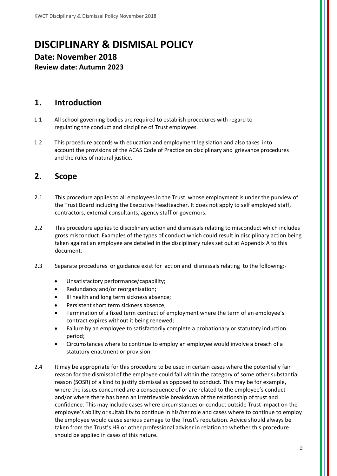## **DISCIPLINARY & DISMISAL POLICY Date: November 2018 Review date: Autumn 2023**

### **1. Introduction**

- 1.1 All school governing bodies are required to establish procedures with regard to regulating the conduct and discipline of Trust employees.
- 1.2 This procedure accords with education and employment legislation and also takes into account the provisions of the ACAS Code of Practice on disciplinary and grievance procedures and the rules of natural justice.

## **2. Scope**

- 2.1 This procedure applies to all employees in the Trust whose employment is under the purview of the Trust Board including the Executive Headteacher. It does not apply to self employed staff, contractors, external consultants, agency staff or governors.
- 2.2 This procedure applies to disciplinary action and dismissals relating to misconduct which includes gross misconduct. Examples of the types of conduct which could result in disciplinary action being taken against an employee are detailed in the disciplinary rules set out at Appendix A to this document.
- 2.3 Separate procedures or guidance exist for action and dismissals relating to the following:-
	- Unsatisfactory performance/capability;
	- Redundancy and/or reorganisation;
	- Ill health and long term sickness absence;
	- Persistent short term sickness absence;
	- Termination of a fixed term contract of employment where the term of an employee's contract expires without it being renewed;
	- Failure by an employee to satisfactorily complete a probationary or statutory induction period;
	- Circumstances where to continue to employ an employee would involve a breach of a statutory enactment or provision.
- 2.4 It may be appropriate for this procedure to be used in certain cases where the potentially fair reason for the dismissal of the employee could fall within the category of some other substantial reason (SOSR) of a kind to justify dismissal as opposed to conduct. This may be for example, where the issues concerned are a consequence of or are related to the employee's conduct and/or where there has been an irretrievable breakdown of the relationship of trust and confidence. This may include cases where circumstances or conduct outside Trust impact on the employee's ability or suitability to continue in his/her role and cases where to continue to employ the employee would cause serious damage to the Trust's reputation. Advice should always be taken from the Trust's HR or other professional adviser in relation to whether this procedure should be applied in cases of this nature.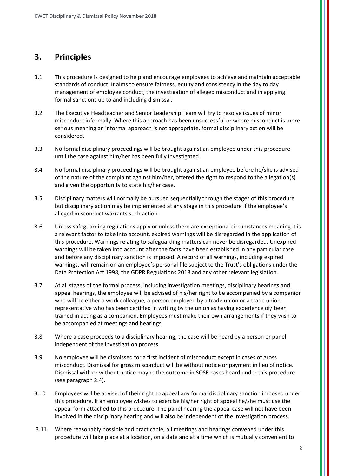## **3. Principles**

- 3.1 This procedure is designed to help and encourage employees to achieve and maintain acceptable standards of conduct. It aims to ensure fairness, equity and consistency in the day to day management of employee conduct, the investigation of alleged misconduct and in applying formal sanctions up to and including dismissal.
- 3.2 The Executive Headteacher and Senior Leadership Team will try to resolve issues of minor misconduct informally. Where this approach has been unsuccessful or where misconduct is more serious meaning an informal approach is not appropriate, formal disciplinary action will be considered.
- 3.3 No formal disciplinary proceedings will be brought against an employee under this procedure until the case against him/her has been fully investigated.
- 3.4 No formal disciplinary proceedings will be brought against an employee before he/she is advised of the nature of the complaint against him/her, offered the right to respond to the allegation(s) and given the opportunity to state his/her case.
- 3.5 Disciplinary matters will normally be pursued sequentially through the stages of this procedure but disciplinary action may be implemented at any stage in this procedure if the employee's alleged misconduct warrants such action.
- 3.6 Unless safeguarding regulations apply or unless there are exceptional circumstances meaning it is a relevant factor to take into account, expired warnings will be disregarded in the application of this procedure. Warnings relating to safeguarding matters can never be disregarded. Unexpired warnings will be taken into account after the facts have been established in any particular case and before any disciplinary sanction is imposed. A record of all warnings, including expired warnings, will remain on an employee's personal file subject to the Trust's obligations under the Data Protection Act 1998, the GDPR Regulations 2018 and any other relevant legislation.
- 3.7 At all stages of the formal process, including investigation meetings, disciplinary hearings and appeal hearings, the employee will be advised of his/her right to be accompanied by a companion who will be either a work colleague, a person employed by a trade union or a trade union representative who has been certified in writing by the union as having experience of/ been trained in acting as a companion. Employees must make their own arrangements if they wish to be accompanied at meetings and hearings.
- 3.8 Where a case proceeds to a disciplinary hearing, the case will be heard by a person or panel independent of the investigation process.
- 3.9 No employee will be dismissed for a first incident of misconduct except in cases of gross misconduct. Dismissal for gross misconduct will be without notice or payment in lieu of notice. Dismissal with or without notice maybe the outcome in SOSR cases heard under this procedure (see paragraph 2.4).
- 3.10 Employees will be advised of their right to appeal any formal disciplinary sanction imposed under this procedure. If an employee wishes to exercise his/her right of appeal he/she must use the appeal form attached to this procedure. The panel hearing the appeal case will not have been involved in the disciplinary hearing and will also be independent of the investigation process.
- 3.11 Where reasonably possible and practicable, all meetings and hearings convened under this procedure will take place at a location, on a date and at a time which is mutually convenient to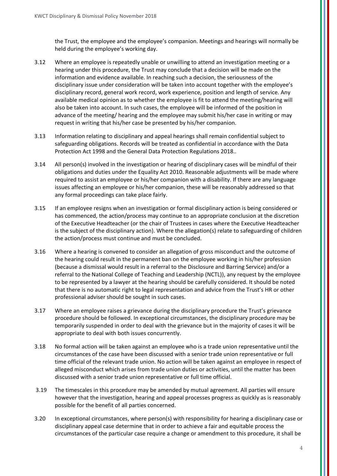the Trust, the employee and the employee's companion. Meetings and hearings will normally be held during the employee's working day.

- 3.12 Where an employee is repeatedly unable or unwilling to attend an investigation meeting or a hearing under this procedure, the Trust may conclude that a decision will be made on the information and evidence available. In reaching such a decision, the seriousness of the disciplinary issue under consideration will be taken into account together with the employee's disciplinary record, general work record, work experience, position and length of service. Any available medical opinion as to whether the employee is fit to attend the meeting/hearing will also be taken into account. In such cases, the employee will be informed of the position in advance of the meeting/ hearing and the employee may submit his/her case in writing or may request in writing that his/her case be presented by his/her companion.
- 3.13 Information relating to disciplinary and appeal hearings shall remain confidential subject to safeguarding obligations. Records will be treated as confidential in accordance with the Data Protection Act 1998 and the General Data Protection Regulations 2018..
- 3.14 All person(s) involved in the investigation or hearing of disciplinary cases will be mindful of their obligations and duties under the Equality Act 2010. Reasonable adjustments will be made where required to assist an employee or his/her companion with a disability. If there are any language issues affecting an employee or his/her companion, these will be reasonably addressed so that any formal proceedings can take place fairly.
- 3.15 If an employee resigns when an investigation or formal disciplinary action is being considered or has commenced, the action/process may continue to an appropriate conclusion at the discretion of the Executive Headteacher (or the chair of Trustees in cases where the Executive Headteacher is the subject of the disciplinary action). Where the allegation(s) relate to safeguarding of children the action/process must continue and must be concluded.
- 3.16 Where a hearing is convened to consider an allegation of gross misconduct and the outcome of the hearing could result in the permanent ban on the employee working in his/her profession (because a dismissal would result in a referral to the Disclosure and Barring Service) and/or a referral to the National College of Teaching and Leadership (NCTL)), any request by the employee to be represented by a lawyer at the hearing should be carefully considered. It should be noted that there is no automatic right to legal representation and advice from the Trust's HR or other professional adviser should be sought in such cases.
- 3.17 Where an employee raises a grievance during the disciplinary procedure the Trust's grievance procedure should be followed. In exceptional circumstances, the disciplinary procedure may be temporarily suspended in order to deal with the grievance but in the majority of cases it will be appropriate to deal with both issues concurrently.
- 3.18 No formal action will be taken against an employee who is a trade union representative until the circumstances of the case have been discussed with a senior trade union representative or full time official of the relevant trade union. No action will be taken against an employee in respect of alleged misconduct which arises from trade union duties or activities, until the matter has been discussed with a senior trade union representative or full time official.
- 3.19 The timescales in this procedure may be amended by mutual agreement. All parties will ensure however that the investigation, hearing and appeal processes progress as quickly as is reasonably possible for the benefit of all parties concerned.
- 3.20 In exceptional circumstances, where person(s) with responsibility for hearing a disciplinary case or disciplinary appeal case determine that in order to achieve a fair and equitable process the circumstances of the particular case require a change or amendment to this procedure, it shall be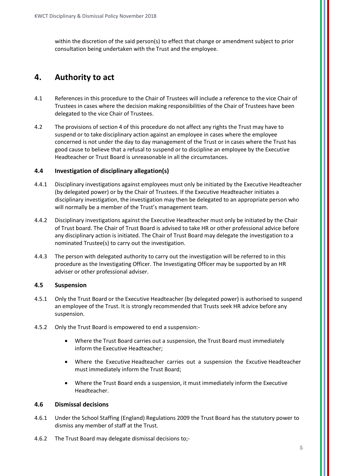within the discretion of the said person(s) to effect that change or amendment subject to prior consultation being undertaken with the Trust and the employee.

## **4. Authority to act**

- 4.1 References in this procedure to the Chair of Trustees will include a reference to the vice Chair of Trustees in cases where the decision making responsibilities of the Chair of Trustees have been delegated to the vice Chair of Trustees.
- 4.2 The provisions of section 4 of this procedure do not affect any rights the Trust may have to suspend or to take disciplinary action against an employee in cases where the employee concerned is not under the day to day management of the Trust or in cases where the Trust has good cause to believe that a refusal to suspend or to discipline an employee by the Executive Headteacher or Trust Board is unreasonable in all the circumstances.

#### **4.4 Investigation of disciplinary allegation(s)**

- 4.4.1 Disciplinary investigations against employees must only be initiated by the Executive Headteacher (by delegated power) or by the Chair of Trustees. If the Executive Headteacher initiates a disciplinary investigation, the investigation may then be delegated to an appropriate person who will normally be a member of the Trust's management team.
- 4.4.2 Disciplinary investigations against the Executive Headteacher must only be initiated by the Chair of Trust board. The Chair of Trust Board is advised to take HR or other professional advice before any disciplinary action is initiated. The Chair of Trust Board may delegate the investigation to a nominated Trustee(s) to carry out the investigation.
- 4.4.3 The person with delegated authority to carry out the investigation will be referred to in this procedure as the Investigating Officer. The Investigating Officer may be supported by an HR adviser or other professional adviser.

#### **4.5 Suspension**

- 4.5.1 Only the Trust Board or the Executive Headteacher (by delegated power) is authorised to suspend an employee of the Trust. It is strongly recommended that Trusts seek HR advice before any suspension.
- 4.5.2 Only the Trust Board is empowered to end a suspension:-
	- Where the Trust Board carries out a suspension, the Trust Board must immediately inform the Executive Headteacher;
	- Where the Executive Headteacher carries out a suspension the Excutive Headteacher must immediately inform the Trust Board;
	- Where the Trust Board ends a suspension, it must immediately inform the Executive Headteacher.

#### **4.6 Dismissal decisions**

- 4.6.1 Under the School Staffing (England) Regulations 2009 the Trust Board has the statutory power to dismiss any member of staff at the Trust.
- 4.6.2 The Trust Board may delegate dismissal decisions to;-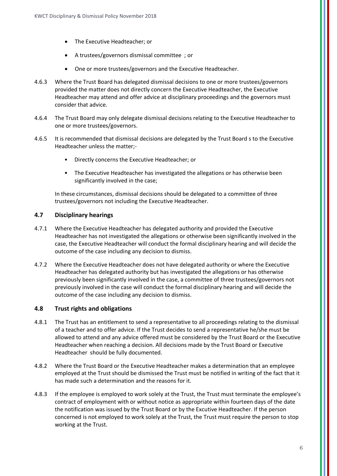- The Executive Headteacher; or
- A trustees/governors dismissal committee ; or
- One or more trustees/governors and the Executive Headteacher.
- 4.6.3 Where the Trust Board has delegated dismissal decisions to one or more trustees/governors provided the matter does not directly concern the Executive Headteacher, the Executive Headteacher may attend and offer advice at disciplinary proceedings and the governors must consider that advice.
- 4.6.4 The Trust Board may only delegate dismissal decisions relating to the Executive Headteacher to one or more trustees/governors.
- 4.6.5 It is recommended that dismissal decisions are delegated by the Trust Board s to the Executive Headteacher unless the matter;-
	- Directly concerns the Executive Headteacher; or
	- The Executive Headteacher has investigated the allegations or has otherwise been significantly involved in the case;

In these circumstances, dismissal decisions should be delegated to a committee of three trustees/governors not including the Executive Headteacher.

#### **4.7 Disciplinary hearings**

- 4.7.1 Where the Executive Headteacher has delegated authority and provided the Executive Headteacher has not investigated the allegations or otherwise been significantly involved in the case, the Executive Headteacher will conduct the formal disciplinary hearing and will decide the outcome of the case including any decision to dismiss.
- 4.7.2 Where the Executive Headteacher does not have delegated authority or where the Executive Headteacher has delegated authority but has investigated the allegations or has otherwise previously been significantly involved in the case, a committee of three trustees/governors not previously involved in the case will conduct the formal disciplinary hearing and will decide the outcome of the case including any decision to dismiss.

#### **4.8 Trust rights and obligations**

- 4.8.1 The Trust has an entitlement to send a representative to all proceedings relating to the dismissal of a teacher and to offer advice. If the Trust decides to send a representative he/she must be allowed to attend and any advice offered must be considered by the Trust Board or the Executive Headteacher when reaching a decision. All decisions made by the Trust Board or Executive Headteacher should be fully documented.
- 4.8.2 Where the Trust Board or the Executive Headteacher makes a determination that an employee employed at the Trust should be dismissed the Trust must be notified in writing of the fact that it has made such a determination and the reasons for it.
- 4.8.3 If the employee is employed to work solely at the Trust, the Trust must terminate the employee's contract of employment with or without notice as appropriate within fourteen days of the date the notification was issued by the Trust Board or by the Excutive Headteacher. If the person concerned is not employed to work solely at the Trust, the Trust must require the person to stop working at the Trust.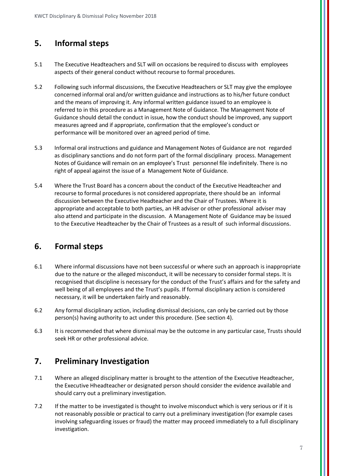## **5. Informal steps**

- 5.1 The Executive Headteachers and SLT will on occasions be required to discuss with employees aspects of their general conduct without recourse to formal procedures.
- 5.2 Following such informal discussions, the Executive Headteachers or SLT may give the employee concerned informal oral and/or written guidance and instructions as to his/her future conduct and the means of improving it. Any informal written guidance issued to an employee is referred to in this procedure as a Management Note of Guidance. The Management Note of Guidance should detail the conduct in issue, how the conduct should be improved, any support measures agreed and if appropriate, confirmation that the employee's conduct or performance will be monitored over an agreed period of time.
- 5.3 Informal oral instructions and guidance and Management Notes of Guidance are not regarded as disciplinary sanctions and do not form part of the formal disciplinary process. Management Notes of Guidance will remain on an employee's Trust personnel file indefinitely. There is no right of appeal against the issue of a Management Note of Guidance.
- 5.4 Where the Trust Board has a concern about the conduct of the Executive Headteacher and recourse to formal procedures is not considered appropriate, there should be an informal discussion between the Executive Headteacher and the Chair of Trustees. Where it is appropriate and acceptable to both parties, an HR adviser or other professional adviser may also attend and participate in the discussion. A Management Note of Guidance may be issued to the Executive Headteacher by the Chair of Trustees as a result of such informal discussions.

## **6. Formal steps**

- 6.1 Where informal discussions have not been successful or where such an approach is inappropriate due to the nature or the alleged misconduct, it will be necessary to consider formal steps. It is recognised that discipline is necessary for the conduct of the Trust's affairs and for the safety and well being of all employees and the Trust's pupils. If formal disciplinary action is considered necessary, it will be undertaken fairly and reasonably.
- 6.2 Any formal disciplinary action, including dismissal decisions, can only be carried out by those person(s) having authority to act under this procedure. (See section 4).
- 6.3 It is recommended that where dismissal may be the outcome in any particular case, Trusts should seek HR or other professional advice.

## **7. Preliminary Investigation**

- 7.1 Where an alleged disciplinary matter is brought to the attention of the Executive Headteacher, the Executive Hheadteacher or designated person should consider the evidence available and should carry out a preliminary investigation.
- 7.2 If the matter to be investigated is thought to involve misconduct which is very serious or if it is not reasonably possible or practical to carry out a preliminary investigation (for example cases involving safeguarding issues or fraud) the matter may proceed immediately to a full disciplinary investigation.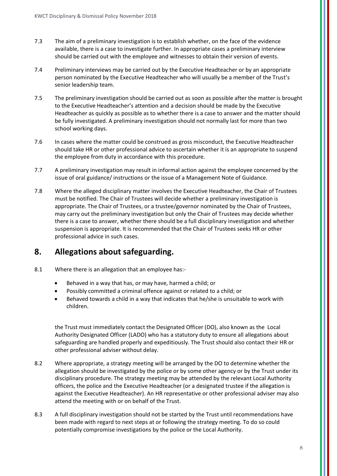- 7.3 The aim of a preliminary investigation is to establish whether, on the face of the evidence available, there is a case to investigate further. In appropriate cases a preliminary interview should be carried out with the employee and witnesses to obtain their version of events.
- 7.4 Preliminary interviews may be carried out by the Executive Headteacher or by an appropriate person nominated by the Executive Headteacher who will usually be a member of the Trust's senior leadership team.
- 7.5 The preliminary investigation should be carried out as soon as possible after the matter is brought to the Executive Headteacher's attention and a decision should be made by the Executive Headteacher as quickly as possible as to whether there is a case to answer and the matter should be fully investigated. A preliminary investigation should not normally last for more than two school working days.
- 7.6 In cases where the matter could be construed as gross misconduct, the Executive Headteacher should take HR or other professional advice to ascertain whether it is an appropriate to suspend the employee from duty in accordance with this procedure.
- 7.7 A preliminary investigation may result in informal action against the employee concerned by the issue of oral guidance/ instructions or the issue of a Management Note of Guidance.
- 7.8 Where the alleged disciplinary matter involves the Executive Headteacher, the Chair of Trustees must be notified. The Chair of Trustees will decide whether a preliminary investigation is appropriate. The Chair of Trustees, or a trustee/governor nominated by the Chair of Trustees, may carry out the preliminary investigation but only the Chair of Trustees may decide whether there is a case to answer, whether there should be a full disciplinary investigation and whether suspension is appropriate. It is recommended that the Chair of Trustees seeks HR or other professional advice in such cases.

## **8. Allegations about safeguarding.**

- 8.1 Where there is an allegation that an employee has:-
	- Behaved in a way that has, or may have, harmed a child; or
	- Possibly committed a criminal offence against or related to a child; or
	- Behaved towards a child in a way that indicates that he/she is unsuitable to work with children.

the Trust must immediately contact the Designated Officer (DO), also known as the Local Authority Designated Officer (LADO) who has a statutory duty to ensure all allegations about safeguarding are handled properly and expeditiously. The Trust should also contact their HR or other professional adviser without delay.

- 8.2 Where appropriate, a strategy meeting will be arranged by the DO to determine whether the allegation should be investigated by the police or by some other agency or by the Trust under its disciplinary procedure. The strategy meeting may be attended by the relevant Local Authority officers, the police and the Executive Headteacher (or a designated trustee if the allegation is against the Executive Headteacher). An HR representative or other professional adviser may also attend the meeting with or on behalf of the Trust.
- 8.3 A full disciplinary investigation should not be started by the Trust until recommendations have been made with regard to next steps at or following the strategy meeting. To do so could potentially compromise investigations by the police or the Local Authority.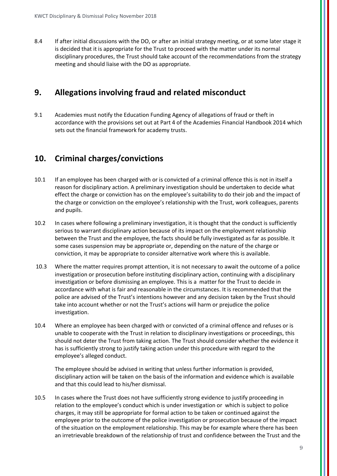8.4 If after initial discussions with the DO, or after an initial strategy meeting, or at some later stage it is decided that it is appropriate for the Trust to proceed with the matter under its normal disciplinary procedures, the Trust should take account of the recommendations from the strategy meeting and should liaise with the DO as appropriate.

### **9. Allegations involving fraud and related misconduct**

9.1 Academies must notify the Education Funding Agency of allegations of fraud or theft in accordance with the provisions set out at Part 4 of the Academies Financial Handbook 2014 which sets out the financial framework for academy trusts.

## **10. Criminal charges/convictions**

- 10.1 If an employee has been charged with or is convicted of a criminal offence this is not in itself a reason for disciplinary action. A preliminary investigation should be undertaken to decide what effect the charge or conviction has on the employee's suitability to do their job and the impact of the charge or conviction on the employee's relationship with the Trust, work colleagues, parents and pupils.
- 10.2 In cases where following a preliminary investigation, it is thought that the conduct is sufficiently serious to warrant disciplinary action because of its impact on the employment relationship between the Trust and the employee, the facts should be fully investigated as far as possible. It some cases suspension may be appropriate or, depending on the nature of the charge or conviction, it may be appropriate to consider alternative work where this is available.
- 10.3 Where the matter requires prompt attention, it is not necessary to await the outcome of a police investigation or prosecution before instituting disciplinary action, continuing with a disciplinary investigation or before dismissing an employee. This is a matter for the Trust to decide in accordance with what is fair and reasonable in the circumstances. It is recommended that the police are advised of the Trust's intentions however and any decision taken by the Trust should take into account whether or not the Trust's actions will harm or prejudice the police investigation.
- 10.4 Where an employee has been charged with or convicted of a criminal offence and refuses or is unable to cooperate with the Trust in relation to disciplinary investigations or proceedings, this should not deter the Trust from taking action. The Trust should consider whether the evidence it has is sufficiently strong to justify taking action under this procedure with regard to the employee's alleged conduct.

The employee should be advised in writing that unless further information is provided, disciplinary action will be taken on the basis of the information and evidence which is available and that this could lead to his/her dismissal.

10.5 In cases where the Trust does not have sufficiently strong evidence to justify proceeding in relation to the employee's conduct which is under investigation or which is subject to police charges, it may still be appropriate for formal action to be taken or continued against the employee prior to the outcome of the police investigation or prosecution because of the impact of the situation on the employment relationship. This may be for example where there has been an irretrievable breakdown of the relationship of trust and confidence between the Trust and the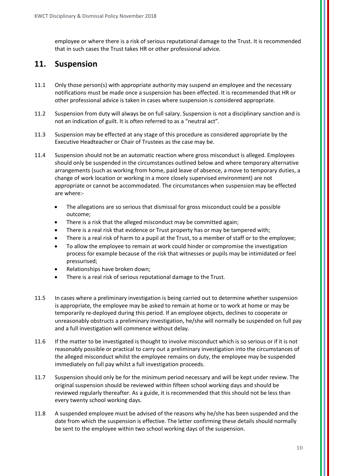employee or where there is a risk of serious reputational damage to the Trust. It is recommended that in such cases the Trust takes HR or other professional advice.

## **11. Suspension**

- 11.1 Only those person(s) with appropriate authority may suspend an employee and the necessary notifications must be made once a suspension has been effected. It is recommended that HR or other professional advice is taken in cases where suspension is considered appropriate.
- 11.2 Suspension from duty will always be on full salary. Suspension is not a disciplinary sanction and is not an indication of guilt. It is often referred to as a "neutral act".
- 11.3 Suspension may be effected at any stage of this procedure as considered appropriate by the Executive Headteacher or Chair of Trustees as the case may be.
- 11.4 Suspension should not be an automatic reaction where gross misconduct is alleged. Employees should only be suspended in the circumstances outlined below and where temporary alternative arrangements (such as working from home, paid leave of absence, a move to temporary duties, a change of work location or working in a more closely supervised environment) are not appropriate or cannot be accommodated. The circumstances when suspension may be effected are where:-
	- The allegations are so serious that dismissal for gross misconduct could be a possible outcome;
	- There is a risk that the alleged misconduct may be committed again;
	- There is a real risk that evidence or Trust property has or may be tampered with;
	- There is a real risk of harm to a pupil at the Trust, to a member of staff or to the employee;
	- To allow the employee to remain at work could hinder or compromise the investigation process for example because of the risk that witnesses or pupils may be intimidated or feel pressurised;
	- Relationships have broken down;
	- There is a real risk of serious reputational damage to the Trust.
- 11.5 In cases where a preliminary investigation is being carried out to determine whether suspension is appropriate, the employee may be asked to remain at home or to work at home or may be temporarily re-deployed during this period. If an employee objects, declines to cooperate or unreasonably obstructs a preliminary investigation, he/she will normally be suspended on full pay and a full investigation will commence without delay.
- 11.6 If the matter to be investigated is thought to involve misconduct which is so serious or if it is not reasonably possible or practical to carry out a preliminary investigation into the circumstances of the alleged misconduct whilst the employee remains on duty, the employee may be suspended immediately on full pay whilst a full investigation proceeds.
- 11.7 Suspension should only be for the minimum period necessary and will be kept under review. The original suspension should be reviewed within fifteen school working days and should be reviewed regularly thereafter. As a guide, it is recommended that this should not be less than every twenty school working days.
- 11.8 A suspended employee must be advised of the reasons why he/she has been suspended and the date from which the suspension is effective. The letter confirming these details should normally be sent to the employee within two school working days of the suspension.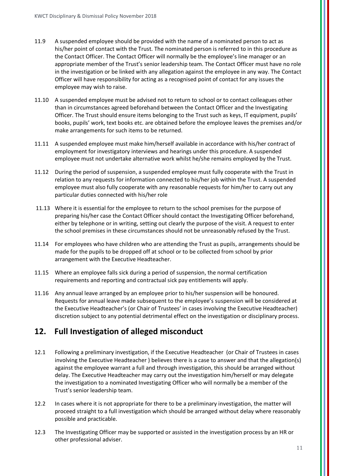- 11.9 A suspended employee should be provided with the name of a nominated person to act as his/her point of contact with the Trust. The nominated person is referred to in this procedure as the Contact Officer. The Contact Officer will normally be the employee's line manager or an appropriate member of the Trust's senior leadership team. The Contact Officer must have no role in the investigation or be linked with any allegation against the employee in any way. The Contact Officer will have responsibility for acting as a recognised point of contact for any issues the employee may wish to raise.
- 11.10 A suspended employee must be advised not to return to school or to contact colleagues other than in circumstances agreed beforehand between the Contact Officer and the Investigating Officer. The Trust should ensure items belonging to the Trust such as keys, IT equipment, pupils' books, pupils' work, text books etc. are obtained before the employee leaves the premises and/or make arrangements for such items to be returned.
- 11.11 A suspended employee must make him/herself available in accordance with his/her contract of employment for investigatory interviews and hearings under this procedure. A suspended employee must not undertake alternative work whilst he/she remains employed by the Trust.
- 11.12 During the period of suspension, a suspended employee must fully cooperate with the Trust in relation to any requests for information connected to his/her job within the Trust. A suspended employee must also fully cooperate with any reasonable requests for him/her to carry out any particular duties connected with his/her role
- 11.13 Where it is essential for the employee to return to the school premises for the purpose of preparing his/her case the Contact Officer should contact the Investigating Officer beforehand, either by telephone or in writing, setting out clearly the purpose of the visit. A request to enter the school premises in these circumstances should not be unreasonably refused by the Trust.
- 11.14 For employees who have children who are attending the Trust as pupils, arrangements should be made for the pupils to be dropped off at school or to be collected from school by prior arrangement with the Executive Headteacher.
- 11.15 Where an employee falls sick during a period of suspension, the normal certification requirements and reporting and contractual sick pay entitlements will apply.
- 11.16 Any annual leave arranged by an employee prior to his/her suspension will be honoured. Requests for annual leave made subsequent to the employee's suspension will be considered at the Executive Headteacher's (or Chair of Trustees' in cases involving the Executive Headteacher) discretion subject to any potential detrimental effect on the investigation or disciplinary process.

## **12. Full Investigation of alleged misconduct**

- 12.1 Following a preliminary investigation, if the Executive Headteacher (or Chair of Trustees in cases involving the Executive Headteacher ) believes there is a case to answer and that the allegation(s) against the employee warrant a full and through investigation, this should be arranged without delay. The Executive Headteacher may carry out the investigation him/herself or may delegate the investigation to a nominated Investigating Officer who will normally be a member of the Trust's senior leadership team.
- 12.2 In cases where it is not appropriate for there to be a preliminary investigation, the matter will proceed straight to a full investigation which should be arranged without delay where reasonably possible and practicable.
- 12.3 The Investigating Officer may be supported or assisted in the investigation process by an HR or other professional adviser.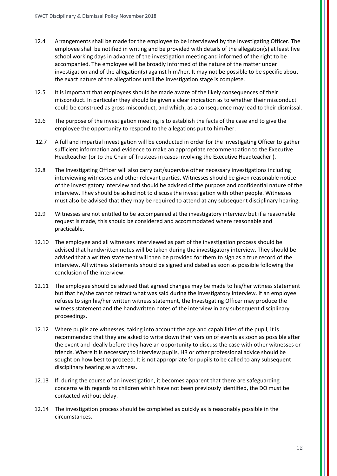- 12.4 Arrangements shall be made for the employee to be interviewed by the Investigating Officer. The employee shall be notified in writing and be provided with details of the allegation(s) at least five school working days in advance of the investigation meeting and informed of the right to be accompanied. The employee will be broadly informed of the nature of the matter under investigation and of the allegation(s) against him/her. It may not be possible to be specific about the exact nature of the allegations until the investigation stage is complete.
- 12.5 It is important that employees should be made aware of the likely consequences of their misconduct. In particular they should be given a clear indication as to whether their misconduct could be construed as gross misconduct, and which, as a consequence may lead to their dismissal.
- 12.6 The purpose of the investigation meeting is to establish the facts of the case and to give the employee the opportunity to respond to the allegations put to him/her.
- 12.7 A full and impartial investigation will be conducted in order for the Investigating Officer to gather sufficient information and evidence to make an appropriate recommendation to the Executive Headteacher (or to the Chair of Trustees in cases involving the Executive Headteacher ).
- 12.8 The Investigating Officer will also carry out/supervise other necessary investigations including interviewing witnesses and other relevant parties. Witnesses should be given reasonable notice of the investigatory interview and should be advised of the purpose and confidential nature of the interview. They should be asked not to discuss the investigation with other people. Witnesses must also be advised that they may be required to attend at any subsequent disciplinary hearing.
- 12.9 Witnesses are not entitled to be accompanied at the investigatory interview but if a reasonable request is made, this should be considered and accommodated where reasonable and practicable.
- 12.10 The employee and all witnesses interviewed as part of the investigation process should be advised that handwritten notes will be taken during the investigatory interview. They should be advised that a written statement will then be provided for them to sign as a true record of the interview. All witness statements should be signed and dated as soon as possible following the conclusion of the interview.
- 12.11 The employee should be advised that agreed changes may be made to his/her witness statement but that he/she cannot retract what was said during the investigatory interview. If an employee refuses to sign his/her written witness statement, the Investigating Officer may produce the witness statement and the handwritten notes of the interview in any subsequent disciplinary proceedings.
- 12.12 Where pupils are witnesses, taking into account the age and capabilities of the pupil, it is recommended that they are asked to write down their version of events as soon as possible after the event and ideally before they have an opportunity to discuss the case with other witnesses or friends. Where it is necessary to interview pupils, HR or other professional advice should be sought on how best to proceed. It is not appropriate for pupils to be called to any subsequent disciplinary hearing as a witness.
- 12.13 If, during the course of an investigation, it becomes apparent that there are safeguarding concerns with regards to children which have not been previously identified, the DO must be contacted without delay.
- 12.14 The investigation process should be completed as quickly as is reasonably possible in the circumstances.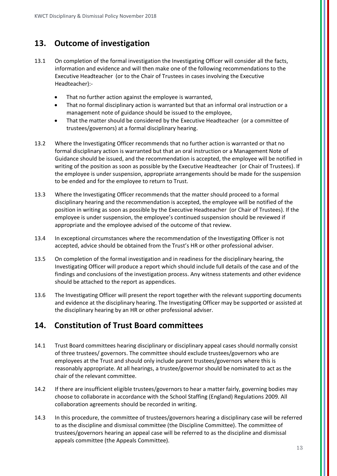## **13. Outcome of investigation**

- 13.1 On completion of the formal investigation the Investigating Officer will consider all the facts, information and evidence and will then make one of the following recommendations to the Executive Headteacher (or to the Chair of Trustees in cases involving the Executive Headteacher):-
	- That no further action against the employee is warranted,
	- That no formal disciplinary action is warranted but that an informal oral instruction or a management note of guidance should be issued to the employee,
	- That the matter should be considered by the Executive Headteacher (or a committee of trustees/governors) at a formal disciplinary hearing.
- 13.2 Where the Investigating Officer recommends that no further action is warranted or that no formal disciplinary action is warranted but that an oral instruction or a Management Note of Guidance should be issued, and the recommendation is accepted, the employee will be notified in writing of the position as soon as possible by the Executive Headteacher (or Chair of Trustees). If the employee is under suspension, appropriate arrangements should be made for the suspension to be ended and for the employee to return to Trust.
- 13.3 Where the Investigating Officer recommends that the matter should proceed to a formal disciplinary hearing and the recommendation is accepted, the employee will be notified of the position in writing as soon as possible by the Executive Headteacher (or Chair of Trustees). If the employee is under suspension, the employee's continued suspension should be reviewed if appropriate and the employee advised of the outcome of that review.
- 13.4 In exceptional circumstances where the recommendation of the Investigating Officer is not accepted, advice should be obtained from the Trust's HR or other professional adviser.
- 13.5 On completion of the formal investigation and in readiness for the disciplinary hearing, the Investigating Officer will produce a report which should include full details of the case and of the findings and conclusions of the investigation process. Any witness statements and other evidence should be attached to the report as appendices.
- 13.6 The Investigating Officer will present the report together with the relevant supporting documents and evidence at the disciplinary hearing. The Investigating Officer may be supported or assisted at the disciplinary hearing by an HR or other professional adviser.

## **14. Constitution of Trust Board committees**

- 14.1 Trust Board committees hearing disciplinary or disciplinary appeal cases should normally consist of three trustees/ governors. The committee should exclude trustees/governors who are employees at the Trust and should only include parent trustees/governors where this is reasonably appropriate. At all hearings, a trustee/governor should be nominated to act as the chair of the relevant committee.
- 14.2 If there are insufficient eligible trustees/governors to hear a matter fairly, governing bodies may choose to collaborate in accordance with the School Staffing (England) Regulations 2009. All collaboration agreements should be recorded in writing.
- 14.3 In this procedure, the committee of trustees/governors hearing a disciplinary case will be referred to as the discipline and dismissal committee (the Discipline Committee). The committee of trustees/governors hearing an appeal case will be referred to as the discipline and dismissal appeals committee (the Appeals Committee).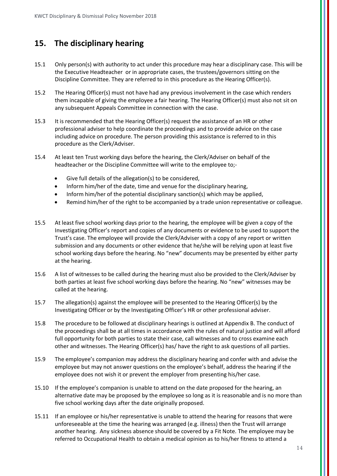## **15. The disciplinary hearing**

- 15.1 Only person(s) with authority to act under this procedure may hear a disciplinary case. This will be the Executive Headteacher or in appropriate cases, the trustees/governors sitting on the Discipline Committee. They are referred to in this procedure as the Hearing Officer(s).
- 15.2 The Hearing Officer(s) must not have had any previous involvement in the case which renders them incapable of giving the employee a fair hearing. The Hearing Officer(s) must also not sit on any subsequent Appeals Committee in connection with the case.
- 15.3 It is recommended that the Hearing Officer(s) request the assistance of an HR or other professional adviser to help coordinate the proceedings and to provide advice on the case including advice on procedure. The person providing this assistance is referred to in this procedure as the Clerk/Adviser.
- 15.4 At least ten Trust working days before the hearing, the Clerk/Adviser on behalf of the headteacher or the Discipline Committee will write to the employee to;-
	- Give full details of the allegation(s) to be considered,
	- Inform him/her of the date, time and venue for the disciplinary hearing,
	- Inform him/her of the potential disciplinary sanction(s) which may be applied,
	- Remind him/her of the right to be accompanied by a trade union representative or colleague.
- 15.5 At least five school working days prior to the hearing, the employee will be given a copy of the Investigating Officer's report and copies of any documents or evidence to be used to support the Trust's case. The employee will provide the Clerk/Adviser with a copy of any report or written submission and any documents or other evidence that he/she will be relying upon at least five school working days before the hearing. No "new" documents may be presented by either party at the hearing.
- 15.6 A list of witnesses to be called during the hearing must also be provided to the Clerk/Adviser by both parties at least five school working days before the hearing. No "new" witnesses may be called at the hearing.
- 15.7 The allegation(s) against the employee will be presented to the Hearing Officer(s) by the Investigating Officer or by the Investigating Officer's HR or other professional adviser.
- 15.8 The procedure to be followed at disciplinary hearings is outlined at Appendix B. The conduct of the proceedings shall be at all times in accordance with the rules of natural justice and will afford full opportunity for both parties to state their case, call witnesses and to cross examine each other and witnesses. The Hearing Officer(s) has/ have the right to ask questions of all parties.
- 15.9 The employee's companion may address the disciplinary hearing and confer with and advise the employee but may not answer questions on the employee's behalf, address the hearing if the employee does not wish it or prevent the employer from presenting his/her case.
- 15.10 If the employee's companion is unable to attend on the date proposed for the hearing, an alternative date may be proposed by the employee so long as it is reasonable and is no more than five school working days after the date originally proposed.
- 15.11 If an employee or his/her representative is unable to attend the hearing for reasons that were unforeseeable at the time the hearing was arranged (e.g. illness) then the Trust will arrange another hearing. Any sickness absence should be covered by a Fit Note. The employee may be referred to Occupational Health to obtain a medical opinion as to his/her fitness to attend a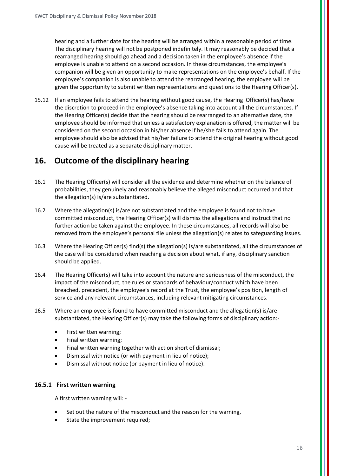hearing and a further date for the hearing will be arranged within a reasonable period of time. The disciplinary hearing will not be postponed indefinitely. It may reasonably be decided that a rearranged hearing should go ahead and a decision taken in the employee's absence if the employee is unable to attend on a second occasion. In these circumstances, the employee's companion will be given an opportunity to make representations on the employee's behalf. If the employee's companion is also unable to attend the rearranged hearing, the employee will be given the opportunity to submit written representations and questions to the Hearing Officer(s).

15.12 If an employee fails to attend the hearing without good cause, the Hearing Officer(s) has/have the discretion to proceed in the employee's absence taking into account all the circumstances. If the Hearing Officer(s) decide that the hearing should be rearranged to an alternative date, the employee should be informed that unless a satisfactory explanation is offered, the matter will be considered on the second occasion in his/her absence if he/she fails to attend again. The employee should also be advised that his/her failure to attend the original hearing without good cause will be treated as a separate disciplinary matter.

## **16. Outcome of the disciplinary hearing**

- 16.1 The Hearing Officer(s) will consider all the evidence and determine whether on the balance of probabilities, they genuinely and reasonably believe the alleged misconduct occurred and that the allegation(s) is/are substantiated.
- 16.2 Where the allegation(s) is/are not substantiated and the employee is found not to have committed misconduct, the Hearing Officer(s) will dismiss the allegations and instruct that no further action be taken against the employee. In these circumstances, all records will also be removed from the employee's personal file unless the allegation(s) relates to safeguarding issues.
- 16.3 Where the Hearing Officer(s) find(s) the allegation(s) is/are substantiated, all the circumstances of the case will be considered when reaching a decision about what, if any, disciplinary sanction should be applied.
- 16.4 The Hearing Officer(s) will take into account the nature and seriousness of the misconduct, the impact of the misconduct, the rules or standards of behaviour/conduct which have been breached, precedent, the employee's record at the Trust, the employee's position, length of service and any relevant circumstances, including relevant mitigating circumstances.
- 16.5 Where an employee is found to have committed misconduct and the allegation(s) is/are substantiated, the Hearing Officer(s) may take the following forms of disciplinary action:-
	- First written warning;
	- Final written warning;
	- Final written warning together with action short of dismissal;
	- Dismissal with notice (or with payment in lieu of notice);
	- Dismissal without notice (or payment in lieu of notice).

#### **16.5.1 First written warning**

A first written warning will: -

- Set out the nature of the misconduct and the reason for the warning,
- State the improvement required;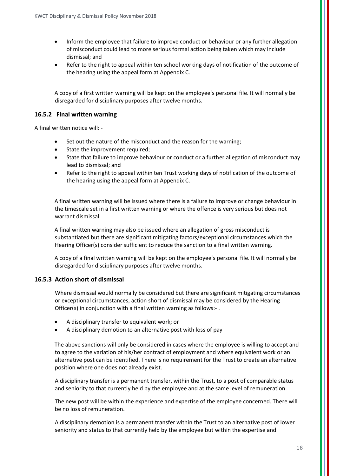- Inform the employee that failure to improve conduct or behaviour or any further allegation of misconduct could lead to more serious formal action being taken which may include dismissal; and
- Refer to the right to appeal within ten school working days of notification of the outcome of the hearing using the appeal form at Appendix C.

A copy of a first written warning will be kept on the employee's personal file. It will normally be disregarded for disciplinary purposes after twelve months.

#### **16.5.2 Final written warning**

A final written notice will: -

- Set out the nature of the misconduct and the reason for the warning;
- State the improvement required;
- State that failure to improve behaviour or conduct or a further allegation of misconduct may lead to dismissal; and
- Refer to the right to appeal within ten Trust working days of notification of the outcome of the hearing using the appeal form at Appendix C.

A final written warning will be issued where there is a failure to improve or change behaviour in the timescale set in a first written warning or where the offence is very serious but does not warrant dismissal.

A final written warning may also be issued where an allegation of gross misconduct is substantiated but there are significant mitigating factors/exceptional circumstances which the Hearing Officer(s) consider sufficient to reduce the sanction to a final written warning.

A copy of a final written warning will be kept on the employee's personal file. It will normally be disregarded for disciplinary purposes after twelve months.

#### **16.5.3 Action short of dismissal**

Where dismissal would normally be considered but there are significant mitigating circumstances or exceptional circumstances, action short of dismissal may be considered by the Hearing Officer(s) in conjunction with a final written warning as follows:-.

- A disciplinary transfer to equivalent work; or
- A disciplinary demotion to an alternative post with loss of pay

The above sanctions will only be considered in cases where the employee is willing to accept and to agree to the variation of his/her contract of employment and where equivalent work or an alternative post can be identified. There is no requirement for the Trust to create an alternative position where one does not already exist.

A disciplinary transfer is a permanent transfer, within the Trust, to a post of comparable status and seniority to that currently held by the employee and at the same level of remuneration.

The new post will be within the experience and expertise of the employee concerned. There will be no loss of remuneration.

A disciplinary demotion is a permanent transfer within the Trust to an alternative post of lower seniority and status to that currently held by the employee but within the expertise and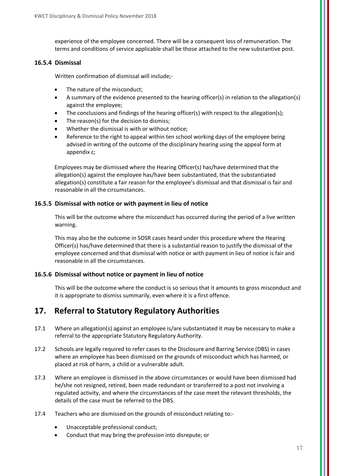experience of the employee concerned. There will be a consequent loss of remuneration. The terms and conditions of service applicable shall be those attached to the new substantive post.

#### **16.5.4 Dismissal**

Written confirmation of dismissal will include;-

- The nature of the misconduct;
- A summary of the evidence presented to the hearing officer(s) in relation to the allegation(s) against the employee;
- The conclusions and findings of the hearing officer(s) with respect to the allegation(s);
- The reason(s) for the decision to dismiss;
- Whether the dismissal is with or without notice:
- Reference to the right to appeal within ten school working days of the employee being advised in writing of the outcome of the disciplinary hearing using the appeal form at appendix c;

Employees may be dismissed where the Hearing Officer(s) has/have determined that the allegation(s) against the employee has/have been substantiated, that the substantiated allegation(s) constitute a fair reason for the employee's dismissal and that dismissal is fair and reasonable in all the circumstances.

#### **16.5.5 Dismissal with notice or with payment in lieu of notice**

This will be the outcome where the misconduct has occurred during the period of a live written warning.

This may also be the outcome in SOSR cases heard under this procedure where the Hearing Officer(s) has/have determined that there is a substantial reason to justify the dismissal of the employee concerned and that dismissal with notice or with payment in lieu of notice is fair and reasonable in all the circumstances.

#### **16.5.6 Dismissal without notice or payment in lieu of notice**

This will be the outcome where the conduct is so serious that it amounts to gross misconduct and it is appropriate to dismiss summarily, even where it is a first offence.

## **17. Referral to Statutory Regulatory Authorities**

- 17.1 Where an allegation(s) against an employee is/are substantiated it may be necessary to make a referral to the appropriate Statutory Regulatory Authority.
- 17.2 Schools are legally required to refer cases to the Disclosure and Barring Service (DBS) in cases where an employee has been dismissed on the grounds of misconduct which has harmed, or placed at risk of harm, a child or a vulnerable adult.
- 17.3 Where an employee is dismissed in the above circumstances or would have been dismissed had he/she not resigned, retired, been made redundant or transferred to a post not involving a regulated activity, and where the circumstances of the case meet the relevant thresholds, the details of the case must be referred to the DBS.
- 17.4 Teachers who are dismissed on the grounds of misconduct relating to:-
	- Unacceptable professional conduct;
	- Conduct that may bring the profession into disrepute; or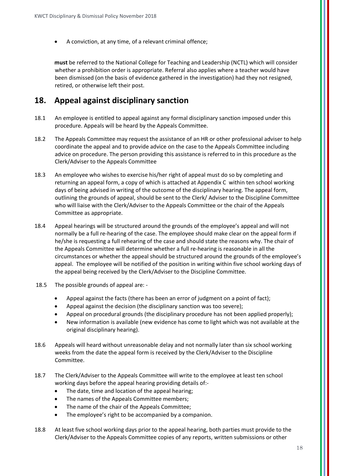• A conviction, at any time, of a relevant criminal offence;

**must** be referred to the National College for Teaching and Leadership (NCTL) which will consider whether a prohibition order is appropriate. Referral also applies where a teacher would have been dismissed (on the basis of evidence gathered in the investigation) had they not resigned, retired, or otherwise left their post.

## **18. Appeal against disciplinary sanction**

- 18.1 An employee is entitled to appeal against any formal disciplinary sanction imposed under this procedure. Appeals will be heard by the Appeals Committee.
- 18.2 The Appeals Committee may request the assistance of an HR or other professional adviser to help coordinate the appeal and to provide advice on the case to the Appeals Committee including advice on procedure. The person providing this assistance is referred to in this procedure as the Clerk/Adviser to the Appeals Committee
- 18.3 An employee who wishes to exercise his/her right of appeal must do so by completing and returning an appeal form, a copy of which is attached at Appendix C within ten school working days of being advised in writing of the outcome of the disciplinary hearing. The appeal form, outlining the grounds of appeal, should be sent to the Clerk/ Adviser to the Discipline Committee who will liaise with the Clerk/Adviser to the Appeals Committee or the chair of the Appeals Committee as appropriate.
- 18.4 Appeal hearings will be structured around the grounds of the employee's appeal and will not normally be a full re-hearing of the case. The employee should make clear on the appeal form if he/she is requesting a full rehearing of the case and should state the reasons why. The chair of the Appeals Committee will determine whether a full re-hearing is reasonable in all the circumstances or whether the appeal should be structured around the grounds of the employee's appeal. The employee will be notified of the position in writing within five school working days of the appeal being received by the Clerk/Adviser to the Discipline Committee.
- 18.5 The possible grounds of appeal are:
	- Appeal against the facts (there has been an error of judgment on a point of fact);
	- Appeal against the decision (the disciplinary sanction was too severe);
	- Appeal on procedural grounds (the disciplinary procedure has not been applied properly);
	- New information is available (new evidence has come to light which was not available at the original disciplinary hearing).
- 18.6 Appeals will heard without unreasonable delay and not normally later than six school working weeks from the date the appeal form is received by the Clerk/Adviser to the Discipline Committee.
- 18.7 The Clerk/Adviser to the Appeals Committee will write to the employee at least ten school working days before the appeal hearing providing details of:-
	- The date, time and location of the appeal hearing;
	- The names of the Appeals Committee members;
	- The name of the chair of the Appeals Committee;
	- The employee's right to be accompanied by a companion.
- 18.8 At least five school working days prior to the appeal hearing, both parties must provide to the Clerk/Adviser to the Appeals Committee copies of any reports, written submissions or other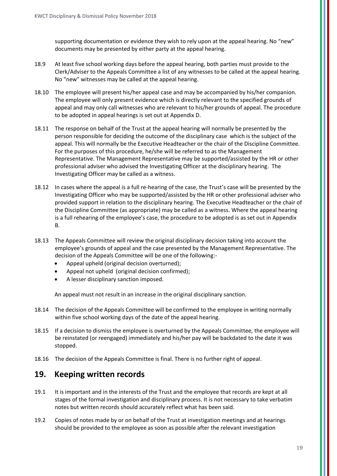supporting documentation or evidence they wish to rely upon at the appeal hearing. No "new" documents may be presented by either party at the appeal hearing.

- 18.9 At least five school working days before the appeal hearing, both parties must provide to the Clerk/Adviser to the Appeals Committee a list of any witnesses to be called at the appeal hearing. No "new" witnesses may be called at the appeal hearing.
- 18.10 The employee will present his/her appeal case and may be accompanied by his/her companion. The employee will only present evidence which is directly relevant to the specified grounds of appeal and may only call witnesses who are relevant to his/her grounds of appeal. The procedure to be adopted in appeal hearings is set out at Appendix D.
- 18.11 The response on behalf of the Trust at the appeal hearing will normally be presented by the person responsible for deciding the outcome of the disciplinary case which is the subject of the appeal. This will normally be the Executive Headteacher or the chair of the Discipline Committee. For the purposes of this procedure, he/she will be referred to as the Management Representative. The Management Representative may be supported/assisted by the HR or other professional adviser who advised the Investigating Officer at the disciplinary hearing. The Investigating Officer may be called as a witness.
- 18.12 In cases where the appeal is a full re-hearing of the case, the Trust's case will be presented by the Investigating Officer who may be supported/assisted by the HR or other professional adviser who provided support in relation to the disciplinary hearing. The Executive Headteacher or the chair of the Discipline Committee (as appropriate) may be called as a witness. Where the appeal hearing is a full rehearing of the employee's case, the procedure to be adopted is as set out in Appendix B.
- 18.13 The Appeals Committee will review the original disciplinary decision taking into account the employee's grounds of appeal and the case presented by the Management Representative. The decision of the Appeals Committee will be one of the following:-
	- Appeal upheld (original decision overturned);
	- Appeal not upheld (original decision confirmed);
	- A lesser disciplinary sanction imposed.

An appeal must not result in an increase in the original disciplinary sanction.

- 18.14 The decision of the Appeals Committee will be confirmed to the employee in writing normally within five school working days of the date of the appeal hearing.
- 18.15 If a decision to dismiss the employee is overturned by the Appeals Committee, the employee will be reinstated (or reengaged) immediately and his/her pay will be backdated to the date it was stopped.
- 18.16 The decision of the Appeals Committee is final. There is no further right of appeal.

## **19. Keeping written records**

- 19.1 It is important and in the interests of the Trust and the employee that records are kept at all stages of the formal investigation and disciplinary process. It is not necessary to take verbatim notes but written records should accurately reflect what has been said.
- 19.2 Copies of notes made by or on behalf of the Trust at investigation meetings and at hearings should be provided to the employee as soon as possible after the relevant investigation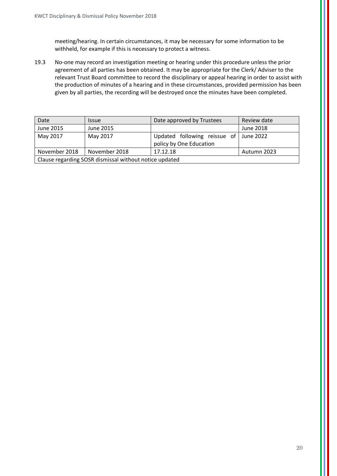meeting/hearing. In certain circumstances, it may be necessary for some information to be withheld, for example if this is necessary to protect a witness.

19.3 No-one may record an investigation meeting or hearing under this procedure unless the prior agreement of all parties has been obtained. It may be appropriate for the Clerk/ Adviser to the relevant Trust Board committee to record the disciplinary or appeal hearing in order to assist with the production of minutes of a hearing and in these circumstances, provided permission has been given by all parties, the recording will be destroyed once the minutes have been completed.

| Date                                                   | <i><u><b>Issue</b></u></i> | Date approved by Trustees                               | Review date |  |
|--------------------------------------------------------|----------------------------|---------------------------------------------------------|-------------|--|
| June 2015                                              | June 2015                  |                                                         | June 2018   |  |
| May 2017                                               | May 2017                   | Updated following reissue of<br>policy by One Education | June 2022   |  |
| November 2018                                          | November 2018              | 17.12.18                                                | Autumn 2023 |  |
| Clause regarding SOSR dismissal without notice updated |                            |                                                         |             |  |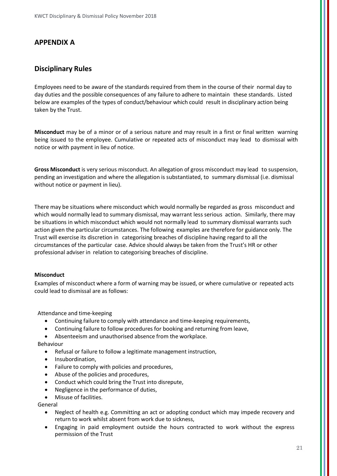#### **APPENDIX A**

#### **Disciplinary Rules**

Employees need to be aware of the standards required from them in the course of their normal day to day duties and the possible consequences of any failure to adhere to maintain these standards. Listed below are examples of the types of conduct/behaviour which could result in disciplinary action being taken by the Trust.

**Misconduct** may be of a minor or of a serious nature and may result in a first or final written warning being issued to the employee. Cumulative or repeated acts of misconduct may lead to dismissal with notice or with payment in lieu of notice.

**Gross Misconduct** is very serious misconduct. An allegation of gross misconduct may lead to suspension, pending an investigation and where the allegation is substantiated, to summary dismissal (i.e. dismissal without notice or payment in lieu).

There may be situations where misconduct which would normally be regarded as gross misconduct and which would normally lead to summary dismissal, may warrant less serious action. Similarly, there may be situations in which misconduct which would not normally lead to summary dismissal warrants such action given the particular circumstances. The following examples are therefore for guidance only. The Trust will exercise its discretion in categorising breaches of discipline having regard to all the circumstances of the particular case. Advice should always be taken from the Trust's HR or other professional adviser in relation to categorising breaches of discipline.

#### **Misconduct**

Examples of misconduct where a form of warning may be issued, or where cumulative or repeated acts could lead to dismissal are as follows:

Attendance and time-keeping

- Continuing failure to comply with attendance and time-keeping requirements,
- Continuing failure to follow procedures for booking and returning from leave,
- Absenteeism and unauthorised absence from the workplace.

Behaviour

- Refusal or failure to follow a legitimate management instruction,
- Insubordination,
- Failure to comply with policies and procedures,
- Abuse of the policies and procedures,
- Conduct which could bring the Trust into disrepute,
- Negligence in the performance of duties,
- Misuse of facilities.

General

- Neglect of health e.g. Committing an act or adopting conduct which may impede recovery and return to work whilst absent from work due to sickness,
- Engaging in paid employment outside the hours contracted to work without the express permission of the Trust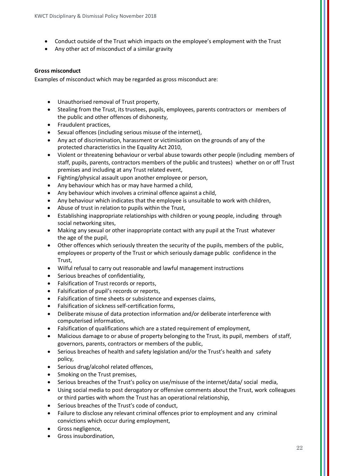- Conduct outside of the Trust which impacts on the employee's employment with the Trust
- Any other act of misconduct of a similar gravity

#### **Gross misconduct**

Examples of misconduct which may be regarded as gross misconduct are:

- Unauthorised removal of Trust property,
- Stealing from the Trust, its trustees, pupils, employees, parents contractors or members of the public and other offences of dishonesty,
- Fraudulent practices,
- Sexual offences (including serious misuse of the internet),
- Any act of discrimination, harassment or victimisation on the grounds of any of the protected characteristics in the Equality Act 2010,
- Violent or threatening behaviour or verbal abuse towards other people (including members of staff, pupils, parents, contractors members of the public and trustees) whether on or off Trust premises and including at any Trust related event,
- Fighting/physical assault upon another employee or person,
- Any behaviour which has or may have harmed a child,
- Any behaviour which involves a criminal offence against a child,
- Any behaviour which indicates that the employee is unsuitable to work with children,
- Abuse of trust in relation to pupils within the Trust,
- Establishing inappropriate relationships with children or young people, including through social networking sites,
- Making any sexual or other inappropriate contact with any pupil at the Trust whatever the age of the pupil,
- Other offences which seriously threaten the security of the pupils, members of the public, employees or property of the Trust or which seriously damage public confidence in the Trust,
- Wilful refusal to carry out reasonable and lawful management instructions
- Serious breaches of confidentiality.
- Falsification of Trust records or reports,
- Falsification of pupil's records or reports,
- Falsification of time sheets or subsistence and expenses claims,
- Falsification of sickness self-certification forms,
- Deliberate misuse of data protection information and/or deliberate interference with computerised information,
- Falsification of qualifications which are a stated requirement of employment,
- Malicious damage to or abuse of property belonging to the Trust, its pupil, members of staff, governors, parents, contractors or members of the public,
- Serious breaches of health and safety legislation and/or the Trust's health and safety policy,
- Serious drug/alcohol related offences,
- Smoking on the Trust premises.
- Serious breaches of the Trust's policy on use/misuse of the internet/data/ social media,
- Using social media to post derogatory or offensive comments about the Trust, work colleagues or third parties with whom the Trust has an operational relationship,
- Serious breaches of the Trust's code of conduct.
- Failure to disclose any relevant criminal offences prior to employment and any criminal convictions which occur during employment,
- Gross negligence,
- Gross insubordination,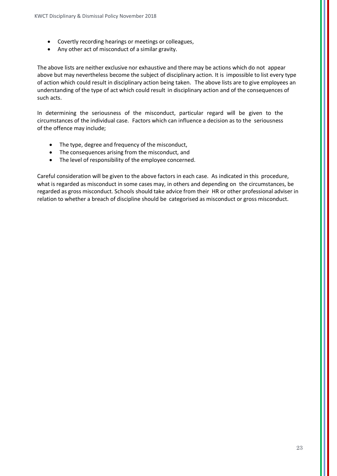- Covertly recording hearings or meetings or colleagues,
- Any other act of misconduct of a similar gravity.

The above lists are neither exclusive nor exhaustive and there may be actions which do not appear above but may nevertheless become the subject of disciplinary action. It is impossible to list every type of action which could result in disciplinary action being taken. The above lists are to give employees an understanding of the type of act which could result in disciplinary action and of the consequences of such acts.

In determining the seriousness of the misconduct, particular regard will be given to the circumstances of the individual case. Factors which can influence a decision as to the seriousness of the offence may include;

- The type, degree and frequency of the misconduct,
- The consequences arising from the misconduct, and
- The level of responsibility of the employee concerned.

Careful consideration will be given to the above factors in each case. As indicated in this procedure, what is regarded as misconduct in some cases may, in others and depending on the circumstances, be regarded as gross misconduct. Schools should take advice from their HR or other professional adviser in relation to whether a breach of discipline should be categorised as misconduct or gross misconduct.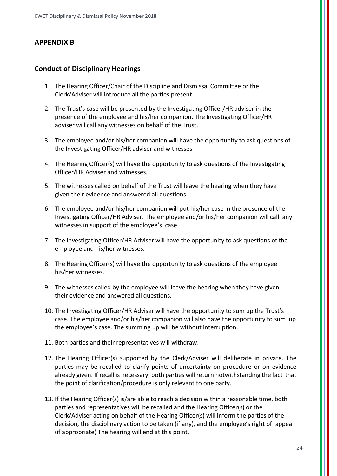#### **APPENDIX B**

#### **Conduct of Disciplinary Hearings**

- 1. The Hearing Officer/Chair of the Discipline and Dismissal Committee or the Clerk/Adviser will introduce all the parties present.
- 2. The Trust's case will be presented by the Investigating Officer/HR adviser in the presence of the employee and his/her companion. The Investigating Officer/HR adviser will call any witnesses on behalf of the Trust.
- 3. The employee and/or his/her companion will have the opportunity to ask questions of the Investigating Officer/HR adviser and witnesses
- 4. The Hearing Officer(s) will have the opportunity to ask questions of the Investigating Officer/HR Adviser and witnesses.
- 5. The witnesses called on behalf of the Trust will leave the hearing when they have given their evidence and answered all questions.
- 6. The employee and/or his/her companion will put his/her case in the presence of the Investigating Officer/HR Adviser. The employee and/or his/her companion will call any witnesses in support of the employee's case.
- 7. The Investigating Officer/HR Adviser will have the opportunity to ask questions of the employee and his/her witnesses.
- 8. The Hearing Officer(s) will have the opportunity to ask questions of the employee his/her witnesses.
- 9. The witnesses called by the employee will leave the hearing when they have given their evidence and answered all questions.
- 10. The Investigating Officer/HR Adviser will have the opportunity to sum up the Trust's case. The employee and/or his/her companion will also have the opportunity to sum up the employee's case. The summing up will be without interruption.
- 11. Both parties and their representatives will withdraw.
- 12. The Hearing Officer(s) supported by the Clerk/Adviser will deliberate in private. The parties may be recalled to clarify points of uncertainty on procedure or on evidence already given. If recall is necessary, both parties will return notwithstanding the fact that the point of clarification/procedure is only relevant to one party.
- 13. If the Hearing Officer(s) is/are able to reach a decision within a reasonable time, both parties and representatives will be recalled and the Hearing Officer(s) or the Clerk/Adviser acting on behalf of the Hearing Officer(s) will inform the parties of the decision, the disciplinary action to be taken (if any), and the employee's right of appeal (if appropriate) The hearing will end at this point.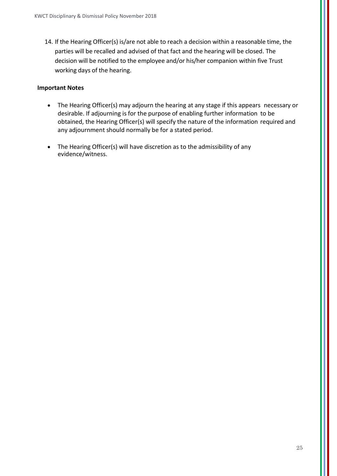14. If the Hearing Officer(s) is/are not able to reach a decision within a reasonable time, the parties will be recalled and advised of that fact and the hearing will be closed. The decision will be notified to the employee and/or his/her companion within five Trust working days of the hearing.

#### **Important Notes**

- The Hearing Officer(s) may adjourn the hearing at any stage if this appears necessary or desirable. If adjourning is for the purpose of enabling further information to be obtained, the Hearing Officer(s) will specify the nature of the information required and any adjournment should normally be for a stated period.
- The Hearing Officer(s) will have discretion as to the admissibility of any evidence/witness.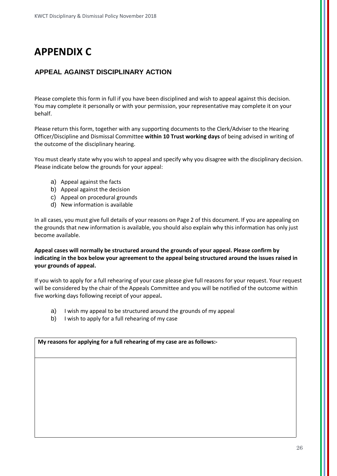# **APPENDIX C**

#### **APPEAL AGAINST DISCIPLINARY ACTION**

Please complete this form in full if you have been disciplined and wish to appeal against this decision. You may complete it personally or with your permission, your representative may complete it on your behalf.

Please return this form, together with any supporting documents to the Clerk/Adviser to the Hearing Officer/Discipline and Dismissal Committee **within 10 Trust working days** of being advised in writing of the outcome of the disciplinary hearing.

You must clearly state why you wish to appeal and specify why you disagree with the disciplinary decision. Please indicate below the grounds for your appeal:

- a) Appeal against the facts
- b) Appeal against the decision
- c) Appeal on procedural grounds
- d) New information is available

In all cases, you must give full details of your reasons on Page 2 of this document. If you are appealing on the grounds that new information is available, you should also explain why this information has only just become available.

**Appeal cases will normally be structured around the grounds of your appeal. Please confirm by indicating in the box below your agreement to the appeal being structured around the issues raised in your grounds of appeal.**

If you wish to apply for a full rehearing of your case please give full reasons for your request. Your request will be considered by the chair of the Appeals Committee and you will be notified of the outcome within five working days following receipt of your appeal**.**

- a) I wish my appeal to be structured around the grounds of my appeal
- b) I wish to apply for a full rehearing of my case

**My reasons for applying for a full rehearing of my case are as follows:-**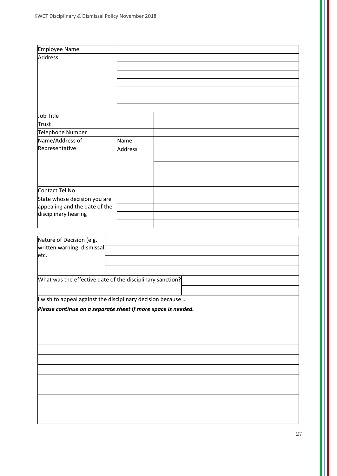| Employee Name                                             |                |  |
|-----------------------------------------------------------|----------------|--|
| Address                                                   |                |  |
|                                                           |                |  |
|                                                           |                |  |
|                                                           |                |  |
|                                                           |                |  |
|                                                           |                |  |
|                                                           |                |  |
| Job Title                                                 |                |  |
| <b>Trust</b>                                              |                |  |
| Telephone Number                                          |                |  |
| Name/Address of                                           | Name           |  |
| Representative                                            | <b>Address</b> |  |
|                                                           |                |  |
|                                                           |                |  |
|                                                           |                |  |
|                                                           |                |  |
| Contact Tel No                                            |                |  |
| State whose decision you are                              |                |  |
| appealing and the date of the                             |                |  |
| disciplinary hearing                                      |                |  |
|                                                           |                |  |
|                                                           |                |  |
| Nature of Decision (e.g.                                  |                |  |
| written warning, dismissal                                |                |  |
| etc.                                                      |                |  |
|                                                           |                |  |
|                                                           |                |  |
| What was the effective date of the disciplinary sanction? |                |  |

I wish to appeal against the disciplinary decision because …

*Please continue on a separate sheet if more space is needed.*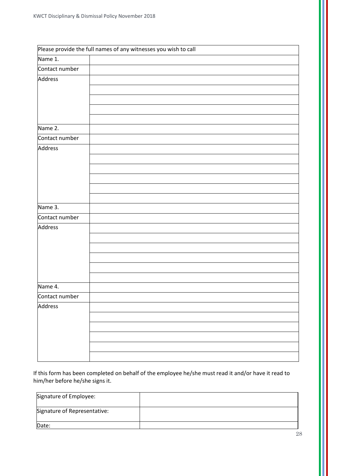|                | Please provide the full names of any witnesses you wish to call |
|----------------|-----------------------------------------------------------------|
| Name 1.        |                                                                 |
| Contact number |                                                                 |
| Address        |                                                                 |
|                |                                                                 |
|                |                                                                 |
|                |                                                                 |
|                |                                                                 |
| Name 2.        |                                                                 |
| Contact number |                                                                 |
| Address        |                                                                 |
|                |                                                                 |
|                |                                                                 |
|                |                                                                 |
|                |                                                                 |
|                |                                                                 |
| Name 3.        |                                                                 |
| Contact number |                                                                 |
| Address        |                                                                 |
|                |                                                                 |
|                |                                                                 |
|                |                                                                 |
|                |                                                                 |
|                |                                                                 |
| Name 4.        |                                                                 |
| Contact number |                                                                 |
| Address        |                                                                 |
|                |                                                                 |
|                |                                                                 |
|                |                                                                 |
|                |                                                                 |
|                |                                                                 |

If this form has been completed on behalf of the employee he/she must read it and/or have it read to him/her before he/she signs it.

| Signature of Employee:       |  |
|------------------------------|--|
| Signature of Representative: |  |
| Date:                        |  |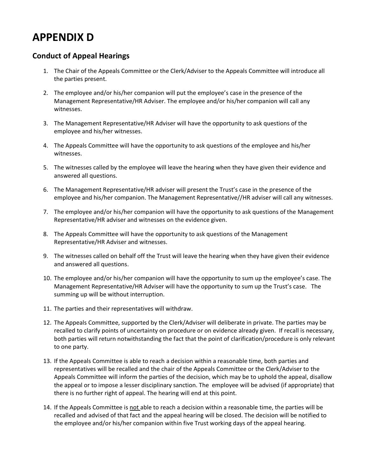## **APPENDIX D**

#### **Conduct of Appeal Hearings**

- 1. The Chair of the Appeals Committee or the Clerk/Adviser to the Appeals Committee will introduce all the parties present.
- 2. The employee and/or his/her companion will put the employee's case in the presence of the Management Representative/HR Adviser. The employee and/or his/her companion will call any witnesses.
- 3. The Management Representative/HR Adviser will have the opportunity to ask questions of the employee and his/her witnesses.
- 4. The Appeals Committee will have the opportunity to ask questions of the employee and his/her witnesses.
- 5. The witnesses called by the employee will leave the hearing when they have given their evidence and answered all questions.
- 6. The Management Representative/HR adviser will present the Trust's case in the presence of the employee and his/her companion. The Management Representative//HR adviser will call any witnesses.
- 7. The employee and/or his/her companion will have the opportunity to ask questions of the Management Representative/HR adviser and witnesses on the evidence given.
- 8. The Appeals Committee will have the opportunity to ask questions of the Management Representative/HR Adviser and witnesses.
- 9. The witnesses called on behalf off the Trust will leave the hearing when they have given their evidence and answered all questions.
- 10. The employee and/or his/her companion will have the opportunity to sum up the employee's case. The Management Representative/HR Adviser will have the opportunity to sum up the Trust's case. The summing up will be without interruption.
- 11. The parties and their representatives will withdraw.
- 12. The Appeals Committee, supported by the Clerk/Adviser will deliberate in private. The parties may be recalled to clarify points of uncertainty on procedure or on evidence already given. If recall is necessary, both parties will return notwithstanding the fact that the point of clarification/procedure is only relevant to one party.
- 13. If the Appeals Committee is able to reach a decision within a reasonable time, both parties and representatives will be recalled and the chair of the Appeals Committee or the Clerk/Adviser to the Appeals Committee will inform the parties of the decision, which may be to uphold the appeal, disallow the appeal or to impose a lesser disciplinary sanction. The employee will be advised (if appropriate) that there is no further right of appeal. The hearing will end at this point.
- 14. If the Appeals Committee is not able to reach a decision within a reasonable time, the parties will be recalled and advised of that fact and the appeal hearing will be closed. The decision will be notified to the employee and/or his/her companion within five Trust working days of the appeal hearing.